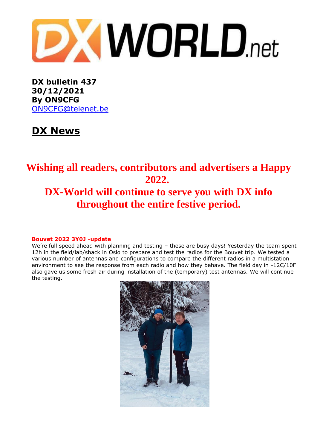

**DX bulletin 437 30/12/2021 By ON9CFG** [ON9CFG@telenet.be](mailto:ON9CFG@telenet.be)

# **DX News**

## **Wishing all readers, contributors and advertisers a Happy 2022. DX-World will continue to serve you with DX info throughout the entire festive period.**

#### **Bouvet 2022 3Y0J -update**

We're full speed ahead with planning and testing – these are busy days! Yesterday the team spent 12h in the field/lab/shack in Oslo to prepare and test the radios for the Bouvet trip. We tested a various number of antennas and configurations to compare the different radios in a multistation environment to see the response from each radio and how they behave. The field day in -12C/10F also gave us some fresh air during installation of the (temporary) test antennas. We will continue the testing.

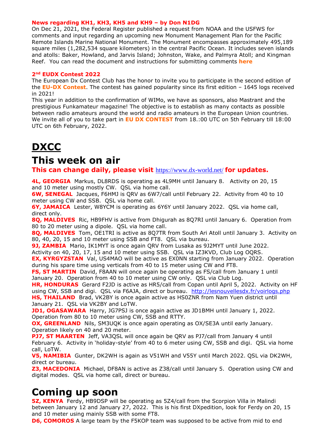#### **News regarding KH1, KH3, KH5 and KH9 – by Don N1DG**

On Dec 21, 2021, the Federal Register published a request from NOAA and the USFWS for comments and input regarding an upcoming new Monument Management Plan for the Pacific Remote Islands Marine National Monument. The Monument encompasses approximately 495,189 square miles (1,282,534 square kilometers) in the central Pacific Ocean. It includes seven islands and atolls: Baker, Howland, and Jarvis Island; Johnston, Wake, and Palmyra Atoll; and Kingman Reef. You can read the document and instructions for submitting comments **[here](https://www.federalregister.gov/documents/2021/12/21/2021-27535/pacific-remote-islands-marine-national-monument-monument-management-plan)**

#### **2nd EUDX Contest 2022**

The European Dx Contest Club has the honor to invite you to participate in the second edition of the **EU-DX [Contest](https://eudxcc.altervista.org/eu-dx-contest/)**. The contest has gained popularity since its first edition – 1645 logs received in 2021!

This year in addition to the confirmation of WIMo, we have as sponsors, also Mastrant and the prestigious Funkamateur magazine! The objective is to establish as many contacts as possible between radio amateurs around the world and radio amateurs in the European Union countries. We invite all of you to take part in **EU DX [CONTEST](https://eudxcc.altervista.org/eu-dx-contest/)** from 18.:00 UTC on 5th February till 18:00 UTC on 6th February, 2022.

# **DXCC**

### **This week on air**

**This can change daily, please visit** <https://www.dx-world.net/> **for updates.**

**4L, GEORGIA** Markus, DL8RDS is operating as 4L9MH until January 8. Activity on 20, 15 and 10 meter using mostly CW. QSL via home call.

**6W, SENEGAL** Jacques, F6HMJ is QRV as 6W7/call until February 22. Activity from 40 to 10 meter using CW and SSB. QSL via home call.

**6Y, JAMAICA** Lester, W8YCM is operating as 6Y6Y until January 2022. QSL via home call, direct only.

**8Q, MALDIVES** Ric, HB9FHV is active from Dhigurah as 8Q7RI until January 6. Operation from 80 to 20 meter using a dipole. QSL via home call.

**8Q, MALDIVES** Tom, OE1TRI is active as 8Q7TR from South Ari Atoll until January 3. Activity on 80, 40, 20, 15 and 10 meter using SSB and FT8. QSL via bureau.

**9J, ZAMBIA** Mario, IK1MYT is once again QRV from Lusaka as 9J2MYT until June 2022.

Activity on 40, 20, 17, 15 and 10 meter using SSB. QSL via IZ3KVD, Club Log OQRS.

**EX, KYRGYZSTAN** Val, US4MAO will be active as EX0NN starting from January 2022. Operation during his spare time using verticals from 40 to 15 meter using CW and FT8.

**FS, ST MARTIN** David, F8AAN will once again be operating as FS/call from January 1 until January 20. Operation from 40 to 10 meter using CW only. QSL via Club Log.

**HR, HONDURAS** Gerard F2JD is active as HR5/call from Copan until April 5, 2022. Activity on HF using CW, SSB and digi. QSL via F6AJA, direct or bureau. <http://lesnouvellesdx.fr/voirlogs.php> **HS, THAILAND** Brad, VK2BY is once again active as HS0ZNR from Nam Yuen district until January 21. QSL via VK2BY and LoTW.

**JD1, OGASAWARA** Harry, JG7PSJ is once again active as JD1BMH until January 1, 2022. Operation from 80 to 10 meter using CW, SSB and RTTY.

**OX, GREENLAND** Nils, SM3UQK is once again operating as OX/SE3A until early January. Operation likely on 40 and 20 meter.

**PJ7, ST MAARTEN** Jeff, VA3QSL will once again be QRV as PJ7/call from January 4 until February 6. Activity in 'holiday-style' from 40 to 6 meter using CW, SSB and digi. QSL via home call, LoTW.

**V5, NAMIBIA** Gunter, DK2WH is again as V51WH and V55Y until March 2022. QSL via DK2WH, direct or bureau.

**Z3, MACEDONIA** Michael, DF8AN is active as Z38/call until January 5. Operation using CW and digital modes. QSL via home call, direct or bureau.

### **Coming up soon**

**5Z, KENYA** Ferdy, HB9DSP will be operating as 5Z4/call from the Scorpion Villa in Malindi between January 12 and January 27, 2022. This is his first DXpedition, look for Ferdy on 20, 15 and 10 meter using mainly SSB with some FT8.

**D6, COMOROS** A large team by the F5KOP team was supposed to be active from mid to end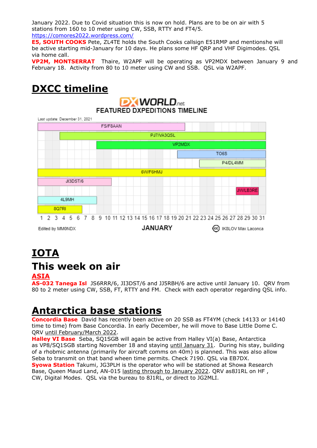January 2022. Due to Covid situation this is now on hold. Plans are to be on air with 5 stations from 160 to 10 meter using CW, SSB, RTTY and FT4/5. <https://comores2022.wordpress.com/>

**E5, SOUTH COOKS** Pete, ZL4TE holds the South Cooks callsign E51RMP and mentionshe will be active starting mid-January for 10 days. He plans some HF QRP and VHF Digimodes. QSL via home call.

**VP2M, MONTSERRAT** Thaire, W2APF will be operating as VP2MDX between January 9 and February 18. Activity from 80 to 10 meter using CW and SSB. QSL via W2APF.

### **DXCC timeline DXWORLD**<sub>net</sub> **FEATURED DXPEDITIONS TIMELINE** Last update: December 31, 2021 FS/F8AAN PJ7/VA3QSL VP2MDX TO<sub>6</sub>S P4/DL4MM 6W/F6HMJ **JI3DST/6 JW/LB3RE** 4L9MH 8Q7RI 1 2 3 4 5 6 7 8 9 10 11 12 13 14 15 16 17 18 19 20 21 22 23 24 25 26 27 28 29 30 31 JANUARY Edited by MM0NDX (cc) IK8LOV Max Laconca

## **IOTA This week on air**

### **ASIA**

**AS-032 Tanega Isl** JS6RRR/6, JI3DST/6 and JJ5RBH/6 are active until January 10. QRV from 80 to 2 meter using CW, SSB, FT, RTTY and FM. Check with each operator regarding QSL info.

### **Antarctica base stations**

**Concordia Base** David has recently been active on 20 SSB as FT4YM (check 14133 or 14140 time to time) from Base Concordia. In early December, he will move to Base Little Dome C. QRV until February/March 2022.

**Halley VI Base** Seba, SQ1SGB will again be active from [Halley](https://halley360.antarcti.co/) VI(a) Base, Antarctica as VP8/SQ1SGB starting November 18 and staying *until January 31*. During his stay, building of a rhobmic antenna (primarily for aircraft comms on 40m) is planned. This was also allow Seba to transmit on that band wheen time permits. Check 7190. QSL via EB7DX. **Syowa Station** Takumi, JG3PLH is the operator who will be stationed at Showa Research Base, Queen Maud Land, AN-015 lasting through to January 2022. QRV as8J1RL on HF , CW, Digital Modes. QSL via the bureau to 8J1RL, or direct to JG2MLI.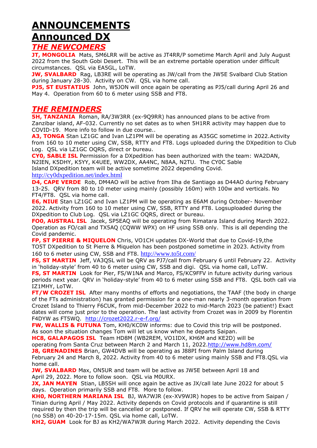# **ANNOUNCEMENTS Announced DX**

### *THE NEWCOMERS*

**JT, MONGOLIA** Mats, SM6LRR will be active as JT4RR/P sometime March April and July August 2022 from the South Gobi Desert. This will be an extreme portable operation under difficult circumstances. QSL via EA5GL, LoTW.

**JW, SVALBARD** Rag, LB3RE will be operating as JW/call from the JW5E Svalbard Club Station during January 28-30. Activity on CW. QSL via home call.

**PJ5, ST EUSTATIUS** John, W5JON will once again be operating as PJ5/call during April 26 and May 4. Operation from 60 to 6 meter using SSB and FT8.

### *THE REMINDERS*

**5H, TANZANIA** Roman, RA/3W3RR (ex-9Q9RR) has announced plans to be active from Zanzibar island, AF-032. Currently no set dates as to when 5H1RR activity may happen due to COVID-19. More info to follow in due course..

A3, TONGA Stan LZ1GC and Ivan LZ1PM will be operating as A35GC sometime in 2022. Activity from 160 to 10 meter using CW, SSB, RTTY and FT8. Logs uploaded during the DXpedition to Club Log. QSL via LZ1GC OQRS, direct or bureau.

**CY0, SABLE ISL** Permission for a DXpedition has been authorized with the team: WA2DAN, N2IEN, K5DHY, K5YY, K4UEE, WW2DX, AA4NC, N8AA, N2TU. The CY0C Sable Island DXpedition team will be active sometime 2022 depending Covid.

<http://cy0dxpedition.net/index.html>

**D4, CAPE VERDE** Rob, DM4AO will be active from Ilha de Santiago as D44AO during February 13-25. QRV from 80 to 10 meter using mainly (possibly 160m) with 100w and verticals. No FT4/FT8. QSL via home call.

**E6, NIUE** Stan LZ1GC and Ivan LZ1PM will be operating as E6AM during October- November 2022. Activity from 160 to 10 meter using CW, SSB, RTTY and FT8. Logsuploaded during the DXpedition to Club Log. QSL via LZ1GC OQRS, direct or bureau.

**FO0, AUSTRAL ISL** Jacek, SP5EAQ will be operating from Rimatara Island during March 2022. Operation as FO/call and TX5AQ (CQWW WPX) on HF using SSB only. This is all depending the Covid pandemic.

**FP, ST PIERRE & MIQUELON** Chris, VO1CH updates DX-World that due to Covid-19,the TO5T DXpedition to St Pierre & Miquelon has been postponed sometime in 2023. Activity from 160 to 6 meter using CW, SSB and FT8. <http://www.to5t.com/>

**FS, ST MARTIN** Jeff, VA3QSL will be QRV as PJ7/call from February 6 until February 22. Activity in 'holiday-style' from 40 to 6 meter using CW, SSB and digi. QSL via home call, LoTW.

**FS, ST MARTIN** Look for Pier, FS/W1NA and Marco, FS/KC9FFV in future activity during various periods next year. QRV in 'holiday-style' from 40 to 6 meter using SSB and FT8. QSL both call via IZ1MHY, LoTW.

**FT/W CROZET ISL** After many months of efforts and negotiations, the TAAF (the body in charge of the FTs administration) has granted permission for a one-man nearly 3-month operation from Crozet Island to Thierry F6CUK, from mid-December 2022 to mid-March 2023 (be patient!) Exact dates will come just prior to the operation. The last activity from Crozet was in 2009 by Florentin F4DYW as FT5WQ. <http://crozet2022.r-e-f.org/>

**FW, WALLIS & FUTUNA** Tom, KH0/KC0W informs: due to Covid this trip will be postponed. As soon the situation changes Tom will let us know when he departs Saipan.

**HC8, GALAPAGOS ISL** Team HD8M (WB2REM, VO1IDX, KH6M and KE2D) will be operating from Santa Cruz between March 2 and March 11, 2022[.http://www.hd8m.com/](http://www.hd8m.com/) **J8, GRENADINES** Brian, GW4DVB will be operating as J88PI from Palm Island during

February 24 and March 8, 2022. Activity from 40 to 6 meter using mainly SSB and FT8.QSL via home call.

**JW, SVALBARD** Max, ON5UR and team will be active as JW5E between April 18 and April 29, 2022. More to follow soon. QSL via M0URX.

**JX, JAN MAYEN** Stian, LB5SH will once again be active as JX/call late June 2022 for about 5 days. Operation primarily SSB and FT8. More to follow.

**KH0, NORTHERN MARIANA ISL** BJ, WA7WJR (ex-XV9WJR) hopes to be active from Saipan / Tinian during April / May 2022. Activity depends on Covid protocols and if quarantine is still required by then the trip will be cancelled or postponed. If QRV he will operate CW, SSB & RTTY (no SSB) on 40-20-17-15m. QSL via home call, LoTW.

**KH2, GUAM** Look for BJ as KH2/WA7WJR during March 2022. Activity depending the Covis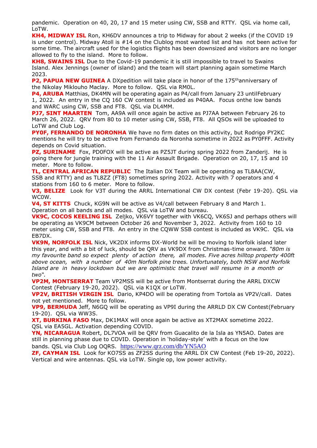pandemic. Operation on 40, 20, 17 and 15 meter using CW, SSB and RTTY. QSL via home call, LoTW.

**KH4, MIDWAY ISL** Ron, KH6DV announces a trip to Midway for about 2 weeks (if the COVID 19 is under control). Midway Atoll is #14 on the Clublog most wanted list and has not been active for some time. The aircraft used for the logistics flights has been downsized and visitors are no longer allowed to fly to the island. More to follow.

**KH8, SWAINS ISL** Due to the Covid-19 pandemic it is still impossible to travel to Swains Island. Alex Jennings (owner of island) and the team will start planning again sometime March 2023.

**P2, PAPUA NEW GUINEA** A DXpedition will take place in honor of the 175<sup>th</sup>anniversary of the Nikolay Miklouho Maclay. More to follow. QSL via RM0L.

**P4, ARUBA** Matthias, DK4MN will be operating again as P4/call from January 23 untilFebruary 1, 2022. An entry in the CQ 160 CW contest is included as P40AA. Focus onthe low bands and WARC using CW, SSB and FT8. QSL via DL4MM.

**PJ7, SINT MAARTEN** Tom, AA9A will once again be active as PJ7AA between February 26 to March 26, 2022. QRV from 80 to 10 meter using CW, SSB, FT8. All QSOs will be uploaded to LoTW and Club Log.

**PY0F, FERNANDO DE NORONHA** We have no firm dates on this activity, but Rodrigo PY2KC mentions he will try to be active from Fernando da Noronha sometime in 2022 as PY0FFF. Activity depends on Covid situation.

**PZ, SURINAME** Fox, PD0FOX will be active as PZ5JT during spring 2022 from Zanderij. He is going there for jungle training with the 11 Air Assault Brigade. Operation on 20, 17, 15 and 10 meter. More to follow.

**TL, CENTRAL AFRICAN REPUBLIC** The Italian DX Team will be operating as TL8AA(CW, SSB and RTTY) and as TL8ZZ (FT8) sometimes spring 2022. Activity with 7 operators and 4 stations from 160 to 6 meter. More to follow.

**V3, BELIZE** Look for V3T during the ARRL International CW DX contest (Febr 19-20). QSL via WC0W.

**V4, ST KITTS** Chuck, KG9N will be active as V4/call between February 8 and March 1. Operation on all bands and all modes. QSL via LoTW and bureau.

**VK9C, COCOS KEELING ISL** Zeljko, VK6VY together with VK6CQ, VK6SJ and perhaps others will be operating as VK9CM between October 26 and November 3, 2022. Activity from 160 to 10 meter using CW, SSB and FT8. An entry in the CQWW SSB contest is included as VK9C. QSL via EB7DX.

**VK9N, NORFOLK ISL** Nick, VK2DX informs DX-World he will be moving to Norfolk island later this year, and with a bit of luck, should be QRV as VK9DX from Christmas-time onward. *"80m is my favourite band so expect plenty of action there, all modes. Five acres hilltop property 400ft above ocean, with a number of 40m Norfolk pine trees. Unfortunately, both NSW and Norfolk Island are in heavy lockdown but we are optimistic that travel will resume in a month or two".*

**VP2M, MONTSERRAT** Team VP2MSS will be active from Montserrat during the ARRL DXCW Contest (February 19-20, 2022). QSL via K1QX or LoTW.

**VP2V, BRITISH VIRGIN ISL** Dario, KP4DO will be operating from Tortola as VP2V/call. Dates not yet mentioned. More to follow.

**VP9, BERMUDA** Jeff, N6GQ will be operating as VP9I during the ARRLD DX CW Contest(February 19-20). QSL via WW3S.

**XT, BURKINA FASO** Max, DK1MAX will once again be active as XT2MAX sometime 2022. QSL via EA5GL. Activation depending COVID.

**YN, NICARAGUA** Robert, DL7VOA will be QRV from Guacalito de la Isla as YN5AO. Dates are still in planning phase due to COVID. Operation in 'holiday-style' with a focus on the low bands. QSL via Club Log OQRS. <https://www.qrz.com/db/YN5AO>

**ZF, CAYMAN ISL** Look for KO7SS as ZF2SS during the ARRL DX CW Contest (Feb 19-20, 2022). Vertical and wire antennas. QSL via LoTW. Single op, low power activity.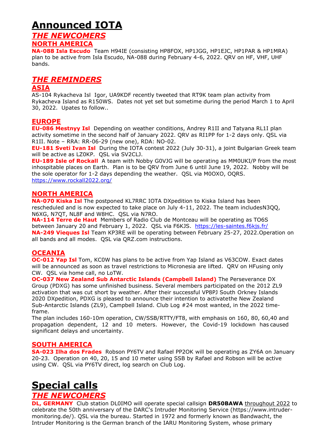## **Announced IOTA**

### *THE NEWCOMERS*

### **NORTH AMERICA**

**NA-088 Isla Escudo** Team H94IE (consisting HP8FOX, HP1JGG, HP1EJC, HP1PAR & HP1MRA) plan to be active from Isla Escudo, NA-088 during February 4-6, 2022. QRV on HF, VHF, UHF bands.

### *THE REMINDERS*

#### **ASIA**

AS-104 Rykacheva Isl Igor, UA9KDF recently tweeted that RT9K team plan activity from Rykacheva Island as R150WS. Dates not yet set but sometime during the period March 1 to April 30, 2022. Upates to follow..

### **EUROPE**

**EU-086 Mestnyy Isl** Depending on weather conditions, Andrey R1II and Tatyana RL1I plan activity sometime in the second half of January 2022. QRV as RI1PP for 1-2 days only. QSL via R1II. Note – RRA: RR-06-29 (new one), RDA: NO-02.

**EU-181 Sveti Ivan Isl** During the IOTA contest 2022 (July 30-31), a joint Bulgarian Greek team will be active as LZ0KP. QSL via SV2CLJ.

**EU-189 Isle of Rockall** A team with Nobby G0VJG will be operating as MM0UKI/P from the most inhospitable places on Earth. Plan is to be QRV from June 6 until June 19, 2022. Nobby will be the sole operator for 1-2 days depending the weather. QSL via M0OXO, OQRS. <https://www.rockall2022.org/>

### **NORTH AMERICA**

**NA-070 Kiska Isl** The postponed KL7RRC IOTA DXpedition to Kiska Island has been rescheduled and is now expected to take place on July 4-11, 2022. The team includesN3QQ, N6XG, N7QT, NL8F and W8HC. QSL via N7RO.

**NA-114 Terre de Haut** Members of Radio Club de Montceau will be operating as TO6S between January 20 and February 1, 2022. QSL via F6KJS. <https://les-saintes.f6kjs.fr/> **NA-249 Vieques Isl** Team KP3RE will be operating between February 25-27, 2022.Operation on all bands and all modes. QSL via QRZ.com instructions.

#### **OCEANIA**

**OC-012 Yap Isl** Tom, KC0W has plans to be active from Yap Island as V63COW. Exact dates will be announced as soon as travel restrictions to Micronesia are lifted. QRV on HFusing only CW. QSL via home call, no LoTW.

**OC-037 New Zealand Sub Antarctic Islands (Campbell Island)** The Perseverance DX Group (PDXG) has some unfinished business. Several members participated on the 2012 ZL9 activation that was cut short by weather. After their successful VP8PJ South Orkney Islands 2020 DXpedition, PDXG is pleased to announce their intention to activatethe New Zealand Sub-Antarctic Islands (ZL9), Campbell Island. Club Log #24 most wanted, in the 2022 timeframe.

The plan includes 160-10m operation, CW/SSB/RTTY/FT8, with emphasis on 160, 80, 60,40 and propagation dependent, 12 and 10 meters. However, the Covid-19 lockdown has caused significant delays and uncertainty.

#### **SOUTH AMERICA**

**SA-023 Ilha dos Frades** Robson PY6TV and Rafael PP2OK will be operating as ZY6A on January 20-23. Operation on 40, 20, 15 and 10 meter using SSB by Rafael and Robson will be active using CW. QSL via PY6TV direct, log search on Club Log.

## **Special calls**

### *THE NEWCOMERS*

**DL, GERMANY** Club station DL0IMO will operate special callsign **DR50BAWA** throughout 2022 to celebrate the 50th anniversary of the DARC's Intruder Monitoring Service (https://www.intrudermonitoring.de/). QSL via the bureau. Started in 1972 and formerly known as Bandwacht, the Intruder Monitoring is the German branch of the IARU Monitoring System, whose primary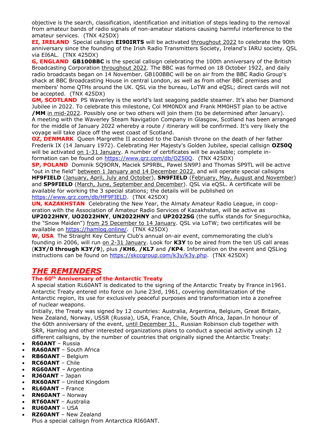objective is the search, classification, identification and initiation of steps leading to the removal from amateur bands of radio signals of non-amateur stations causing harmful interference to the amateur services. (TNX 425DX)

**EI, IRELAND**Special callsign **EI90IRTS** will be activated throughout 2022 to celebrate the 90th anniversary since the founding of the Irish Radio Transmitters Society, Ireland's IARU society. QSL via EI6AL. (TNX 425DX)

**G, ENGLAND GB100BBC** is the special callsign celebrating the 100th anniversary of the British Broadcasting Corporation throughout 2022. The BBC was formed on 18 October 1922, and daily radio broadcasts began on 14 November. GB100BBC will be on air from the BBC Radio Group's shack at BBC Broadcasting House in central London, as well as from other BBC premises and members' home QTHs around the UK. QSL via the bureau, LoTW and eQSL; direct cards will not be accepted. (TNX 425DX)

**GM, SCOTLAND** PS Waverley is the world's last seagoing paddle steamer. It's also her Diamond Jubilee in 2022. To celebrate this milestone, Col MM0NDX and Frank MM0HST plan to be active **/MM** in mid-2022. Possibly one or two others will join them (to be determined after January). A meeting with the Waverley Steam Navigation Company in Glasgow, Scotland has been arranged for the middle of January 2022 whereby a route / itinerary will be confirmed. It's very likely the voyage will take place off the west coast of Scotland.

**OZ, DENMARK** Queen Margrethe II acceded to the Danish throne on the death of her father Frederik IX (14 January 1972). Celebrating Her Majesty's Golden Jubilee, special callsign **OZ50Q** will be activated on 1-31 January. A number of certificates will be available; complete information can be found on [https://www.qrz.com/db/OZ50Q.](https://www.qrz.com/db/OZ50Q) (TNX 425DX)

**SP, POLAND** Dominik SQ9ORN, Maciek SP9RBL, Pawel SN9PJ and Thomas SP9TL will be active "out in the field" between 1 January and 14 December 2022, and will operate special callsigns **HF9FIELD** (January, April, July and October), **SN9FIELD** (February, May, August and November) and **SP9FIELD** (March, June, September and December). QSL via eQSL. A certificate will be available for working the 3 special stations; the details will be published on [https://www.qrz.com/db/HF9FIELD.](https://www.qrz.com/db/HF9FIELD) (TNX 425DX)

**UN, KAZAKHSTAN** Celebrating the New Year, the Almaty Amateur Radio League, in cooperation with the Association of Amateur Radio Services of Kazakhstan, will be active as **UP2022HNY**, **UO2022HNY**, **UN2022HNY** and **UP2022SG** (the suffix stands for Snegurochka, the "Snow Maiden") from 25 December to 14 January. QSL via LoTW; two certificates will be available on [https://hamlog.online/.](https://hamlog.online/) (TNX 425DX)

**W, USA** The Straight Key Century Club's annual on-air event, commemorating the club's founding in 2006, will run on 2-31 January. Look for **K3Y** to be aired from the ten US call areas (**K3Y/0 through K3Y/9**), plus **/KH6**, **/KL7** and **/KP4**. Information on the event and QSLing instructions can be found on [https://skccgroup.com/k3y/k3y.php.](https://skccgroup.com/k3y/k3y.php) (TNX 425DX)

### *THE REMINDERS*

#### **The 60th Anniversary of the Antarctic Treaty**

A special station RL60ANT is dedicated to the signing of the Antarctic Treaty by France in1961. Antarctic Treaty entered into force on June 23rd, 1961, covering demilitarization of the Antarctic region, its use for exclusively peaceful purposes and transformation into a zonefree of nuclear weapons.

Initially, the Treaty was signed by 12 countries: Australia, Argentina, Belgium, Great Britain, New Zealand, Norway, USSR (Russia), USA, France, Chile, South Africa, Japan.In honour of the 60th anniversary of the event, until December 31. Russian Robinson club together with SRR, Hamlog and other interested organizations plans to conduct a special activity usingh 12 different callsigns, by the number of countries that originally signed the Antarctic Treaty:

- **R60ANT**  Russia
- **RA60ANT**  South Africa
- **RB60ANT** Belgium
- **RC60ANT** Chile
- **RG60ANT** Argentina
- **RJ60ANT** Japan
- **RK60ANT** United Kingdom
- **RL60ANT** France
- **RN60ANT** Norway
- **RT60ANT**  Australia
- **RU60ANT** USA
- **RZ60ANT** New Zealand Plus a special callsign from Antarctica RI60ANT.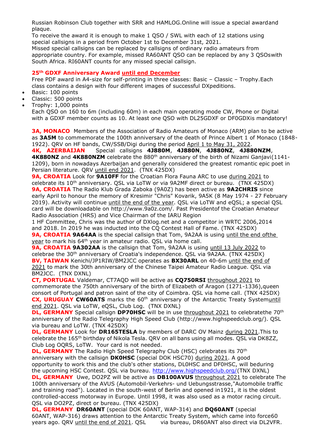Russian Robinson Club together with SRR and HAMLOG.Online will issue a special awardand plaque.

To receive the award it is enough to make 1 QSO / SWL with each of 12 stations using special callsigns in a period from October 1st to December 31st, 2021.

Missed special callsigns can be replaced by callsigns of ordinary radio amateurs from appropriate country. For example, missed RA60ANT QSO can be replaced by any 3 QSOswith South Africa. RI60ANT counts for any missed special callsign.

#### **25th GDXF Anniversary Award until end December**

Free PDF award in A4-size for self-printing in three classes: Basic – Classic – Trophy.Each class contains a design with four different images of successful DXpeditions.

- Basic: 100 points
- Classic: 500 points
- Trophy: 1,000 points

Each QSO on 160 to 6m (including 60m) in each main operating mode CW, Phone or Digital with a GDXF member counts as 10. At least one QSO with DL25GDXF or DF0GDXis mandatory!

**3A, MONACO** Members of the Association of Radio Amateurs of Monaco (ARM) plan to be active as **3A5M** to commemorate the 100th anniversary of the death of Prince Albert 1 of Monaco (1848- 1922). QRV on HF bands, CW/SSB/Digi during the period April 1 to May 31, 2022.

**4K, AZERBAIJAN** Special callsigns **4J880M**, **4J880N**, **4J880NZ**, **4J880NZM**, 4K880NZ and 4K880NZM celebrate the 880<sup>th</sup> anniversary of the birth of Nizami Ganjavi(1141-1209), born in nowadays Azerbaijan and generally considered the greatest romantic epic poet in Persian literature. QRV until end 2021. (TNX 425DX)

**9A, CROATIA** Look for **9A10FF** for the Croatian Flora Fauna ARC to use during 2021 to celebrate its 10<sup>th</sup> anniversary. QSL via LoTW or via 9A2MF direct or bureau. (TNX 425DX) **9A, CROATIA** The Radio Klub Grada Zaboka (9A0Z) has been active as **9A2CHRIS** since early April to honour the memory of Kresimir "Chris" Kovarik, 9A5K (8 May 1974 - 27 February 2019). Activity will continue until the end of the year. QSL via LoTW and eQSL; a special QSL card will be downloadable on [http://www.9a0z.com/. P](http://www.9a0z.com/)ast Presidentof the Croatian Amateur Radio Association (HRS) and Vice Chairman of the IARU Region

1 HF Committee, Chris was the author of DXlog.net and a competitor in WRTC 2006,2014 and 2018. In 2019 he was inducted into the CQ Contest Hall of Fame. (TNX 425DX)

**9A, CROATIA 9A64AA** is the special callsign that Tom, 9A2AA is using until the end ofthe year to mark his 64<sup>th</sup> year in amateur radio. QSL via home call.

**9A, CROATIA 9A302AA** is the callsign that Tom, 9A2AA is using until 13 July 2022 to celebrae the 30<sup>th</sup> anniversary of Croatia's independence. QSL via 9A2AA. (TNX 425DX) **BV, TAIWAN** Kenichi/JP1RIW/BM2JCC operates as **BX30ARL** on 40-6m until the end of 2021 to mark the 30th anniversary of the Chinese Taipei Amateur Radio League. QSL via BM2JCC. (TNX DXNL)

**CT, PORTUGAL** Valdemar, CT7AQD will be active as **CQ750RSI** throughout 2021 to commemorate the 750th anniversary of the birth of Elizabeth of Aragon (1271-1336),queen consort of Portugal and patron saint of the city of Coimbra. QSL via home call. (TNX 425DX) **CX, URUGUAY CW60ATS** marks the 60<sup>th</sup> anniversary of the Antarctic Treaty Systemuntil end 2021. QSL via LoTW, eQSL, Club Log. (TNX DXNL)

**DL, GERMANY** Special callsign **DP70HSC** will be in use throughout 2021 to celebratethe 70<sup>th</sup> anniversary of the Radio Telegraphy High Speed Club [\(http://www.highspeedclub.org/\).](http://www.highspeedclub.org/)) QSL via bureau and LoTW. (TNX 425DX)

**DL, GERMANY** Look for **DR165TESLA** by members of DARC OV Mainz during 2021.This to celebrate the 165th birthday of Nikola Tesla. QRV on all bans using all modes. QSL via DK8ZZ, Club Log OQRS, LoTW. Your card is not needed.

**DL, GERMANY** The Radio High Speed Telegraphy Club (HSC) celebrates its 70<sup>th</sup> anniversary with the callsign **DK0HSC** (special DOK HSC70) during 2021. A good opportunity to work this and the club's other stations, DL0HSC and DF0HSC, will beduring the upcoming HSC Contest. QSL via bureau. [http://www.highspeedclub.org/\(](http://www.highspeedclub.org/)TNX DXNL)

**DL, GERMANY** Uwe, DO2PZ will be active as **DB100AVUS** throughout 2021 to celebrate The 100th anniversary of the AVUS (Automobil-Verkehrs- und Uebungsstrasse,"Automobile traffic and training road"). Located in the south-west of Berlin and opened in1921, it is the oldest controlled-access motorway in Europe. Until 1998, it was also used as a motor racing circuit. QSL via DO2PZ, direct or bureau. (TNX 425DX)

**DL, GERMANY DR60ANT** (special DOK 60ANT, WAP-314) and **DQ60ANT** (special 60ANT, WAP-316) draws attention to the Antarctic Treaty System, which came into force60 years ago. QRV until the end of 2021. QSL via bureau, DR60ANT also direct via DL2VFR.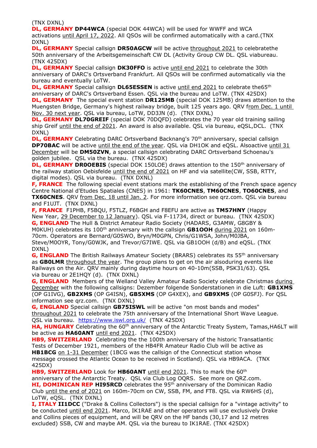(TNX DXNL)

**DL, GERMANY DP44WCA** (special DOK 44WCA) will be used for WWFF and WCA activations until April 17, 2022. All QSOs will be confirmed automatically with a card.(TNX DXNL)

**DL, GERMANY** Special callsign **DR50AGCW** will be active throughout 2021 to celebratethe 50th anniversary of the Arbeitsgemeinschaft CW DL (Activity Group CW DL. QSL viabureau. (TNX 425DX)

**DL, GERMANY** Special callsign **DK30FFO** is active until end 2021 to celebrate the 30th anniversary of DARC's Ortsverband Frankfurt. All QSOs will be confirmed automatically via the bureau and eventually LoTW.

**DL, GERMANY** Special callsign **DL65ESSEN** is active until end 2021 to celebrate the65<sup>th</sup> anniversary of DARC's Ortsverband Essen. QSL via the bureau and LoTW. (TNX 425DX) **DL, GERMANY** The special event station **DR125MB** (special DOK 125MB) draws attention to the Muengsten Bridge, Germany's highest railway bridge, built 125 years ago. QRV from Dec. 1 until

Nov. 30 next year. QSL via bureau, LoTW, DD3JN (d). (TNX DXNL) **DL, GERMANY DL70GREIF** (special DOK 70DQFD) celebrates the 70 year old training sailing ship Greif until the end of 2021. An award is also available. QSL via bureau, eQSL,DCL. (TNX DXNL)

**DL, GERMANY** Celebrating DARC Ortsverband Backnang's 70<sup>th</sup> anniversary, special callsign **DP70BAC** will be active until the end of the year. QSL via DH1OK and eQSL. Alsoactive until 31 December will be **DM50ZVN**, a special callsign celebrating DARC Ortsverband Schoenau's golden jubilee. QSL via the bureau. (TNX 425DX)

**DL, GERMANY DROOEBIS** (special DOK 150LOE) draws attention to the 150<sup>th</sup> anniversary of the railway station Oebisfelde until the end of 2021 on HF and via satellite(CW, SSB, RTTY, digital modes). QSL via bureau. (TNX DXNL)

**F, FRANCE** The following special event stations mark the establishing of the French space agency Centre National d'Etudes Spatiales (CNES) in 1961: **TK60CNES**, **TM60CNES**, **TO60CNES**, and **TX60CNES.** QRV from Dec. 18 until Jan. 2. For more information see qrz.com. QSL via bureau and F1UJT. (TNX DXNL)

**F, FRANCE** F1PHB, F5BQU, F5TLZ, F6BGH and F8EFU are active as **TM57HNY** (Happy New Year, 29 December to 12 January). QSL via F-11734, direct or bureau. (TNX 425DX) **G, ENGLAND** The Hull & District Amateur Radio Society (HADARS, G3AMW, G8GBY & M0KUH) celebrates its 100<sup>th</sup> anniversary with the callsign **GB1OOH** during 2021 on 160m-70cm. Operators are Bernard/G0SWO, Bryn/M0GPN, Chris/G1WSA, John/M0JBA,

Steve/M0OYR, Tony/G0WJK, and Trevor/G7IWE. QSL via GB1OOH (d/B) and eQSL. (TNX DXNL)

**G, ENGLAND** The British Railways Amateur Society (BRARS) celebrates its 55<sup>th</sup> anniversary as **GB0LMR** throughout the year. The group plans to get on the air alsoduring events like Railways on the Air. QRV mainly during daytime hours on 40-10m(SSB, PSK31/63). QSL via bureau or 2E1HQY (d). (TNX DXNL)

**G, ENGLAND** Members of the Welland Valley Amateur Radio Society celebrate Christmas during December with the following callsigns: Dezember folgende Sonderstationen in die Luft: **GB1XMS** (OP G1IVG), **GB2XMS** (OP G4ISN), **GB5XMS** (OP G4XEX), and **GB9XMS** (OP G0SFJ). For QSL information see qrz.com. (TNX DXNL)

**G, ENGLAND** Special callsign **GB75ISWL** will be active "on most bands and modes" throughout 2021 to celebrate the 75th anniversary of the International Short Wave League. QSL via bureau. <https://www.iswl.org.uk/> (TNX 425DX)

**HA, HUNGARY** Celebrating the 60<sup>th</sup> anniversary of the Antarctic Treaty System, Tamas, HA6LT will be active as **HA60ANT** until end 2021. (TNX 425DX)

**HB9, SWITZERLAND** Celebrating the the 100th anniversary of the historic Transatlantic Tests of December 1921, members of the HB4FR Amateur Radio Club will be active as **HB1BCG** on 1-31 December (1BCG was the callsign of the Connecticut station whose message crossed the Atlantic Ocean to be received in Scotland). QSL via HB9ACA. (TNX 425DX)

**HB9, SWITZERLAND** Look for **HB60ANT** until end 2021. This to mark the 60<sup>th</sup> anniversary of the Antarctic Treaty. QSL via Club Log OQRS. See more on QRZ.com. **HI, DOMINICAN REP HI95RCD** celebrates the 95<sup>th</sup> anniversary of the Dominican Radio Club until the end of 2021 on 160m-70cm on CW, SSB, FM, and FT8. QSL via RW6HS (d), LoTW, eQSL. (TNX DXNL)

**I, ITALY II1DCC** ("Drake & Collins Collectors") is the special callsign for a "vintage activity" to be conducted until end 2021. Marco, IK1RAE and other operators will use exclusively Drake and Collins pieces of equipment, and will be QRV on the HF bands (30,17 and 12 metres excluded) SSB, CW and maybe AM. QSL via the bureau to IK1RAE. (TNX 425DX)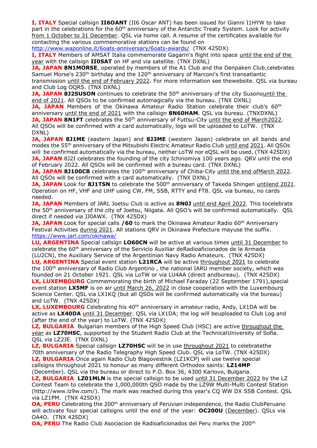**I, ITALY** Special callsign **II6OANT** (II6 Oscar ANT) has been issued for Gianni I1HYW to take part in the celebrations for the 60<sup>th</sup> anniversary of the Antarctic Treaty System. Look for activity from 1 October to 31 December. QSL via home call. A resume of the certificates available for contacting the various commemorative stations can be found on

<http://www.waponline.it/6oats-anniversary/6oats-awards/> (TNX 425DX)

**I, ITALY** Members of AMSAT Italia commemorate Gagarin's flight into space until the end of the year with the callsign **II0SAT** on HF and via satellite. (TNX DXNL)

**JA, JAPAN 8N1MORSE**, operated by members of the A1 Club and the Denpaken Club, celebrates Samuel Morse's 230<sup>th</sup> birthday and the  $120<sup>th</sup>$  anniversary of Marconi's first transatlantic transmission until the end of February 2022. For more information see thewebsite. QSL via bureau and Club Log OQRS. (TNX DXNL)

**JA, JAPAN 8J2SUSON** continues to celebrate the 50<sup>th</sup> anniversary of the city Susonountil the end of 2021. All QSOs to be confirmed automagically via the bureau. (TNX DXNL)

**JA, JAPAN** Members of the Okinawa Amateur Radio Station celebrate their club's 60<sup>th</sup> anniversary until the end of 2021 with the callsign **8N60HAM**. QSL via bureau. (TNXDXNL) **JA, JAPAN 8N1FT** celebrates the 50<sup>th</sup> anniversary of Futtsu-City until the end of March2022. All QSOs will be confirmed with a card automatically, logs will be uploaded to LoTW. (TNX DXNL)

**JA, JAPAN 8J1ME** (eastern Japan) and **8J3ME** (western Japan) celebrate on all bands and modes the 55<sup>th</sup> anniversary of the Mitsubishi Electric Amateur Radio Club until end 2021. All QSOs will be confirmed automatically via the bureau, neither LoTW nor eQSL will be used. (TNX 425DX) **JA, JAPAN** 8J2I celebrates the founding of the city Ichinomiya 100 years ago. QRV until the end of February 2022. All QSOs will be confirmed with a bureau card. (TNX DXNL)

**JA, JAPAN 8J100CB** celebrates the 100<sup>th</sup> anniversary of Chiba-City until the end of March 2022. All QSOs will be confirmed with a card automatically. (TNX DXNL)

**JA, JAPAN** Look for 8J1TSN to celebrate the 500<sup>th</sup> anniversary of Takeda Shingen untilend 2021. Operation on HF, VHF and UHF using CW, FM, SSB, RTTY and FT8. QSL via bureau, no cards needed.

**JA, JAPAN** Members of JARL Joetsu Club is active as **8N0J** until end April 2022. This tocelebrate the 50<sup>th</sup> anniversary of the city of Joetsu, Niigata. All QSO's will be confirmed automatically. QSL direct if needed via JJ0AWX. (TNX 425DX)

**JA, JAPAN** Look for special calls /60 to mark the Okinawa Amateur Radio 60<sup>th</sup> Anniversary Festival Activities during 2021. All stations QRV in Okinawa Prefecture mayuse the suffix. <https://www.jarl.com/okinawa/>

**LU, ARGENTINA** Special callsign **LO60CN** will be active at various times until 31 December to celebrate the 60<sup>th</sup> anniversary of the Servicio Auxiliar deRadioaficionados de la Armada (LU2CN), the Auxiliary Service of the Argentinian Navy Radio Amateurs. (TNX 425DX)

**LU, ARGENTINA** Special event station **L21RCA** will be active throughout 2021 to celebrate the 100<sup>th</sup> anniversary of Radio Club Argentino, the national IARU member society, which was founded on 21 October 1921. QSL via LoTW or via LU4AA (direct andbureau). (TNX 425DX) **LX, LUXEMBOURG** Commemorating the birth of Michael Faraday (22 September 1791), special event station **LX5MF** is on air until March 26, 2022 in close cooperation with the Luxembourg Science Center. QSL via LX1KQ (but all QSOs will be confirmed automatically via the bureau) and LoTW. (TNX 425DX)

LX, LUXEMBOURG Celebrating his 40<sup>th</sup> anniversary in amateur radio, Andy, LX1DA will be active as **LX40DA** until 31 December. QSL via LX1DA; the log will beuploaded to Club Log and (after the end of the year) to LoTW. (TNX 425DX)

**LZ, BULGARIA** Bulgarian members of the High Speed Club (HSC) are active throughout the year as **LZ70HSC**, supported by the Student Radio Club at the TechnicalUniversity of Sofia. QSL via LZ2JE. (TNX DXNL)

**LZ, BULGARIA** Special callsign LZ70HSC will be in use throughout 2021 to celebratethe 70th anniversary of the Radio Telegraphy High Speed Club. QSL via LoTW. (TNX 425DX) LZ, **BULGARIA** Once again Radio Club Blagovestnik (LZ1KCP) will use twelve special callsigns throughout 2021 to honour as many different Orthodox saints: **LZ14MP**  (December). QSL via the bureau or direct to P.O. Box 36, 4300 Karlovo, Bulgaria.

**LZ, BULGARIA LZ01MLN** is the special callsign to be used until 31 December 2022 by the LZ Contest Team to celebrate the 1,000,000th QSO made by the LZ9W Multi-Multi Contest Station (http://www.lz9w.com/). The mark was reached during this year's CQ WW DX SSB Contest. QSL via LZ1PM. (TNX 425DX)

**OA, PERU** Celebrating the 200<sup>th</sup> anniversary of Peruvian independence, the Radio ClubPeruano will activate four special callsigns until the end of the year: **OC200U** (December). QSLs via OA4O. (TNX 425DX)

**OA, PERU** The Radio Club Asociacion de Radioaficionados del Peru marks the 200<sup>th</sup>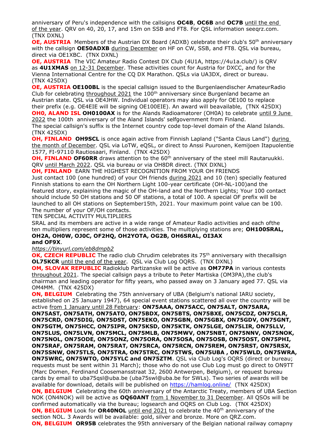anniversary of Peru's independence with the callsigns **OC4B**, **OC6B** and **OC7B** until the end of the year. QRV on 40, 20, 17, and 15m on SSB and FT8. For QSL information seeqrz.com. (TNX DXNL)

**OE, AUSTRIA** Members of the Austrian DX Board (ADXB) celebrate their club's 50<sup>th</sup> anniversary with the callsign **OE50ADXB** during December on HF on CW, SSB, and FT8. QSL via bureau, direct via OE1XBC. (TNX DXNL)

**OE, AUSTRIA** The VIC Amateur Radio Contest DX Club (4U1A, https://4u1a.club/) is QRV as **4U1XMAS** on 12-31 December. These activities count for Austria for DXCC, and for the Vienna International Centre for the CQ DX Marathon. QSLs via UA3DX, direct or bureau. (TNX 425DX)

**OE, AUSTRIA OE100BL** is the special callsign issued to the Burgenlaendischer AmateurRadio Club for celebrating throughout 2021 the  $100<sup>th</sup>$  anniversary since Burgenland became an Austrian state. QSL via OE4JHW. Individual operators may also apply for OE100 to replace their prefix (e.g. OE4EIE will be signing OE100EIE). An award will beavailable, (TNX 425DX) **OH0, ALAND ISL OH0100AX** is for the Alands Radioamatorer (OH0A) to celebrate until 9 June

2022 the 100th anniversary of the Aland Islands' selfgovernment from Finland. The special callsign's suffix is the Internet country code top-level domain of the Aland Islands. (TNX 425DX)

**OH, FINLAND OH9SCL** is once again active from Finnish Lapland ("Santa Claus Land") during the month of December. QSL via LoTW, eQSL, or direct to Anssi Puuronen, Kemijoen Itapuolentie 1577, FI-97110 Rautiosaari, Finland. (TNX 425DX)

**OH, FINLAND OF60RR** draws attention to the 60<sup>th</sup> anniversary of the steel mill Rautaruukki. QRV until March 2022. QSL via bureau or via OH8DR direct. (TNX DXNL)

**OH, FINLAND** EARN THE HIGHEST RECOGNITION FROM YOUR OH FRIENDS

Just contact 100 (one hundred) of your OH friends during 2021 and 10 (ten) specially featured Finnish stations to earn the OH Northern Light 100-year certificate (OH-NL-100)and the featured story, explaining the magic of the OH-land and the Northern Lights; Your 100 contact should include 50 OH stations and 50 OF stations, a total of 100. A special OF prefix will be launched to all OH stations on September15th, 2021. Your maximum point value can be 100. The number of your OF/OH contacts.

TEN SPECIAL ACTIVITY MULTIPLIERS

SRAL and its members are active in a wide range of Amateur Radio activities and each ofthe ten multipliers represent some of those activities. The multiplying stations are; **OH100SRAL, OH2A, OH0W, OJ0C, OF2HQ, OH2YOTA, OG2B, OH6SRAL, OI3AX and OF9X**.

*<https://tinyurl.com/eb8dmpb2>*

**OK, CZECH REPUBLIC** The radio club Chrudim celebrates its 75<sup>th</sup> anniversary with thecallsign **OL75KCR** until the end of the year. QSL via Club Log OQRS. (TNX DXNL)

**OM, SLOVAK REPUBLIC** Radioklub Partizanske will be active as **OM77PA** in various contests throughout 2021. The special callsign pays a tribute to Peter Martiska (OM3PA),the club's chairman and leading operator for fifty years, who passed away on 3 January aged 77. QSL via OM4MM. (TNX 425DX)

**ON, BELGIUM** Celebrating the 75th anniversary of UBA (Belgium's national IARU society, established on 25 January 1947), 64 special event stations scattered all over the country will be active from 1 January until 28 February: **ON75AAA, ON75ACC, ON75ALT, ON75ARA,** 

**ON75AST, ON75ATH, ON75ATO, ON75BDX, ON75BTS, ON75BXE, ON75CDZ, ON75CLR, ON75CRD, ON75DIG, ON75DST, ON75EKO, ON75GBN, ON75GBX, ON75GDV, ON75GNT, ON75GTM, ON75HCC, ON75IPR, ON75KSD, ON75KTK, ON75LGE, ON75LIR, ON75LLV, ON75LUS, ON75LVN, ON75MCL, ON75MLB, ON75MWV, ON75NBT, ON75NNV, ON75NOK, ON75NOL, ON75ODE, ON75ONZ, ON75ORA, ON75OSA, ON75OSB, ON75OST, ON75PHI, ON75RAF, ON75RAM, ON75RAT, ON75RCA, ON75RCN, ON75REM, ON75RST, ON75RSX, ON75SNW, ON75TLS, ON75TRA, ON75TRC, ON75TWS, ON75UBA , ON75WLD, ON75WRA, ON75WRC, ON75WTO, ON75YLC and ON75ZTM**. QSL via Club Log's OQRS (direct or bureau; requests must be sent within 31 March); those who do not use Club Log must go direct to ON9TT (Marc Domen, Ferdinand Coosemansstraat 32, 2600 Antwerpen, Belgium), or request bureau cards by email to uba75qsl@uba.be (uba75swl@uba.be for SWLs). Two series of awards will be available for download, details will be published on <https://hamlog.online/>(TNX 425DX) **ON, BELGIUM** Celebrating the 60th anniversary of the Antarctic Treaty, members of UBA Section NOK (ON4NOK) will be active as **OQ60ANT** from 1 November to 31 December. All QSOs will be confirmed automatically via the bureau; logsearch and OQRS on Club Log. (TNX 425DX) **ON, BELGIUM** Look for **OR40NOL** until end 2021 to celebrate the 40<sup>th</sup> anniversary of the section NOL. 3 Awards will be available: gold, silver and bronze. More on QRZ.com. **ON, BELGIUM OR95B** celebrates the 95th anniversary of the Belgian national railway comapny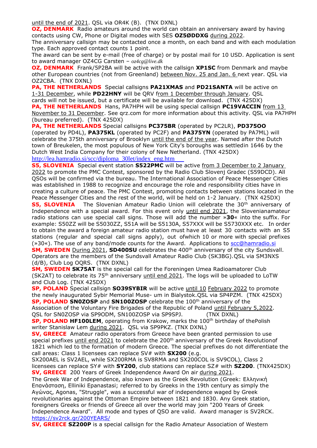until the end of 2021. QSL via OR4K (B). (TNX DXNL)

**OZ, DENMARK** Radio amateurs around the world can obtain an anniversary award by having contacts using CW, Phone or Digital modes with SES **OZ5ØDDXG** during 2022.

The anniversary callsign may be contacted once a month, on each band and with each modulation type. Each approved contact counts 1 point.

The award can be sent by e-mail (free of charge) or by postal mail for 10 USD. Application is sent to award manager OZ4CG Carsten – *oz4cg@live.dk*

**OZ, DENMARK** Frank/5P2BA will be active with the callsign **XP1SC** from Denmark and maybe other European countries (not from Greenland) between Nov. 25 and Jan. 6 next year. QSL via OZ2CBA. (TNX DXNL)

**PA, THE NETHERLANDS** Special callsigns **PA21XMAS** and **PD21SANTA** will be active on 1-31 December, while **PD22HNY** will be QRV from 1 December through January. QSL cards will not be issued, but a certificate will be available for download. (TNX 425DX)

**PA, THE NETHERLANDS** Hans, PA7HPH will be using special callsign **PC19VACCIN** from 13 November to 31 December. See qrz.com for more information about this activity. QSL via PA7HPH (bureau preferred). (TNX 425DX)

**PA, THE NETHERLANDS** Special callsigns **PC375BR** (operated by PC2LR), **PD375OO** (operated by PD4L), **PA375KL** (operated by PC2F) and **PA375YN** (operated by PA7ML) will celebrate the 375th anniversary of Brooklyn until the end of the year. Named after the Dutch town of Breukelen, the most populous of New York City's boroughs was settledin 1646 by the Dutch West India Company for their colony of New Netherland. (TNX 425DX) [http://lea.hamradio.si/scc/diploma\\_30let/index\\_eng.htm](http://lea.hamradio.si/scc/diploma_30let/index_eng.htm)

**S5, SLOVENIA** Special event station **S522PMC** will be active from 3 December to 2 January 2022 to promote the PMC Contest, sponsored by the Radio Club Slovenj Gradec (S59DCD). All QSOs will be confirmed via the bureau. The International Association of Peace Messenger Cities was established in 1988 to recognize and encourage the role and responsibility cities have in creating a culture of peace. The PMC Contest, promoting contacts between stations located in the Peace Messenger Cities and the rest of the world, will be held on 1-2 January. (TNX 425DX)

**S5, SLOVENIA** The Slovenian Amateur Radio Union will celebrate the 30<sup>th</sup> anniversary of Independence with a special award. For this event only until end 2021, the Slovenianamateur radio stations can use special call signs. Those will add the number »**30**« into the suffix. For example: S50ZZ will be S5030ZZ, S51A will be S5130A, S57XXX will be S5730XXX etc. In order to obtain the award a foreign amateur radio station must have at least 30 contacts with an S5 stations (regular and special call signs apply), out ofwhich 10 or more with special prefixes (»30«). The use of any band/mode counts for the Award. Applications to [scc@hamradio.si](mailto:scc@hamradio.si) **SM, SWEDEN** During 2021, **SD400SU** celebrates the 400<sup>th</sup> anniversary of the city Sundsvall. Operators are the members of the Sundsvall Amateur Radio Club (SK3BG).QSL via SM3NXS

(d/B), Club Log OQRS. (TNX DXNL)

**SM, SWEDEN SK75AT** is the special call for the Foreningen Umea Radioamatorer Club (SK2AT) to celebrate its 75<sup>th</sup> anniversary until end 2021. The logs will be uploaded to LoTW and Club Log. (TNX 425DX)

**SP, POLAND** Special callsign **SO39SYBIR** will be active until 10 February 2022 to promote the newly inaugurated Sybir Memorial Muse- um in Bialystok.QSL via SP4PZM. (TNX 425DX) **SP, POLAND SN0ZOSP** and **SN100ZOSP** celebrate the 100<sup>th</sup> anniversary of the Association of the Voluntary Fire Brigades of the Republic of Poland until February 5,2022. QSL for SN0ZOSP via SP9ODM, SN100ZOSP via SP9SPJ. (TNX DXNL)

**SP, POLAND HF100LEM**, operating from Krakow, marks the 100th birthday of thePolish writer Stanislaw Lem during 2021. QSL via SP9PKZ. (TNX DXNL)

**SV, GREECE** Amateur radio operators from Greece have been granted permission to use special prefixes until end  $2021$  to celebrate the  $200<sup>th</sup>$  anniversary of the Greek Revolutionof 1821 which led to the formation of modern Greece. The special prefixes do not differentiate the call areas: Class 1 licensees can replace SV# with **SX200** (e.g.

SX200AEL is SV2AEL, while SX200RMA is SV8RMA and SX200COL is SV9COL), Class 2 licensees can replace SY# with **SY200**, club stations can replace SZ# with **SZ200**. (TNX425DX) **SV, GREECE** 200 Years of Greek Independence Award On air during 2021.

The Greek War of Independence, also known as the Greek Revolution (Greek: Ελληνική Επανάσταση, Elliniki Epanastasi; referred to by Greeks in the 19th century as simply the Αγώνας, Agonas, "Struggle", was a successful war of independence waged by Greek revolutionaries against the Ottoman Empire between 1821 and 1830. Any Greek station, foreigners Greeks or friends of Greece all over the world may join "200 Years of Greek Independence Award". All mode and types of QSO are valid. Award manager is SV2RCK. <https://sv2rck.gr/200YEARS/>

**SV, GREECE SZ200P** is a special callsign for the Radio Amateur Association of Western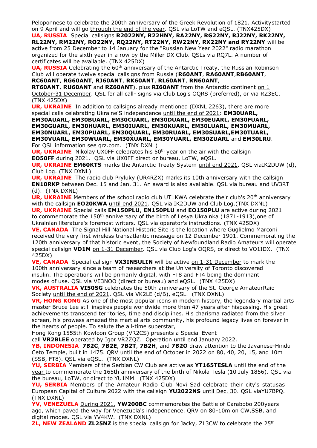Peloponnese to celebrate the 200th anniversary of the Greek Revolution of 1821. Activitystarted on 9 April and will go through the end of the year. QSL via LoTW and eQSL. (TNX425DX)

**UA, RUSSIA**Special callsigns **R2022NY, R22HNY, RA22NY, RG22NY, RJ22NY, RK22NY, RL22NY, RM22NY, RO22NY, RQ22NY, RT22NY, RW22NY, RX22NY and RY22NY** will be active from 25 December to 14 January for the "Russian New Year 2022" radio marathon organized for the sixth year in a row by the Miller DX Club. QSLs via RQ7L. A number of certificates will be available. (TNX 425DX)

**UA, RUSSIA** Celebrating the 60<sup>th</sup> anniversary of the Antarctic Treaty, the Russian Robinson Club will operate twelve special callsigns from Russia (**R60ANT**, **RA60ANT**,**RB60ANT**, **RC60ANT**, **RG60ANT**, **RJ60ANT**, **RK60ANT**, **RL60ANT**, **RN60ANT**,

**RT60ANT**, **RU60ANT** and **RZ60ANT**), plus **RI60ANT** from the Antarctic continent on 1 October-31 December. QSL for all call- signs via Club Log's OQRS (preferred), or via RZ3EC. (TNX 425DX)

**UR, UKRAINE** In addition to callsigns already mentioned (DXNL 2263), there are more special calls celebrating Ukraine'S independence until the end of 2021: **EM30UARL,**

**EM30AUARL, EM30BUARL, EM30CUARL, EM30DUARL, EM30EUARL, EM30FUARL, EM30GUARL, EM30HUARL, EM30IUARL, EM30KUARL, EM30LUARL, EM30MUARL, EM30NUARL, EM30PUARL, EM30QUARL, EM30RUARL, EM30SUARL,EM30TUARL, EM30VUARL, EM30WUARL, EM30XUARL, EM30YUARL, EM30ZUARL** and **EM30LRU**. For QSL information see qrz.com. (TNX DXNL)

**UR, UKRAINE** Nikolay UX0FF celebrates his 50<sup>th</sup> year on the air with the callsign **EO50FF** during 2021. QSL via UX0FF direct or bureau, LoTW, eQSL.

**UR, UKRAINE EM60KTS** marks the Antarctic Treaty System until end 2021. QSL viaIK2DUW (d), Club Log. (TNX DXNL)

**UR, UKRAINE** The radio club Pryluky (UR4RZX) marks its 10th anniversary with the callsign **EN10RKP** between Dec. 15 and Jan. 31. An award is also available. QSL via bureau and UV3RT (d). (TNX DXNL)

**UR, UKRAINE** Members of the school radio club UT1KWA celebrate their club's 20<sup>th</sup> anniversary with the callsign **EO20KWA** until end 2021. QSL via IK2DUW and Club Log.(TNX DXNL) **UR, UKRAINE** Special calls **EM150PLU**, **EN150PLU** and **EO150PLU** are active during 2021 to commemorate the 150<sup>th</sup> anniversary of the birth of Lesya Ukrainka (1871-1913), one of

Ukrainian literature's foremost writers. QSL via operator's instructions. (TNX 425DX) **VE, CANADA** The Signal Hill National Historic Site is the location where Guglielmo Marconi

received the very first wireless transatlantic message on 12 December 1901. Commemorating the 120th anniversary of that historic event, the Society of Newfoundland Radio Amateurs will operate special callsign **VD1M** on 1-31 December. QSL via Club Log's OQRS, or direct to VO1IDX. (TNX 425DX)

**VE, CANADA** Special callsign **VX3INSULIN** will be active on 1-31 December to mark the 100th anniversary since a team of researchers at the University of Toronto discovered insulin. The operations will be primarily digital, with FT8 and FT4 being the dominant modes of use. QSL via VE3NOO (direct or bureau) and eQSL. (TNX 425DX)

**VK, AUSTRALIA VI50SG** celebrates the 50th anniversary of the St. George AmateurRaio Society until the end of 2021. QSL via VK2LE (d/B), eQSL. (TNX DXNL)

**VR, HONG KONG** As one of the most popular icons in modern history, the legendary martial arts master Bruce Lee still inspires people worldwide more then 47 years after hispassing. His great achievements transcend territories, time and disciplines. His charisma radiated from the silver screen, his prowess amazed the martial arts community, his profound legacy lives on forever in the hearts of people. To salute the all-time superstar,

Hong Kong 1555th Kowloon Group (VR2CS) presents a Special Event

call **VR2BLEE** operated by Igor VR2ZQZ. Operation until end January 2022.

**YB, INDONESIA 7B2C**, **7B2E**, **7B2T**, **7B2H**, and **7B2O** draw attention to the Javanese-Hindu Ceto Temple, built in 1475. QRV until the end of October in 2022 on 80, 40, 20, 15, and 10m (SSB, FT8). QSL via eQSL. (TNX DXNL)

**YU, SERBIA** Members of the Serbian CW Club are active as **YT165TESLA** until the end of the year to commemorate the 165th anniversary of the birth of Nikola Tesla (10 July 1856). QSL via the bureau, LoTW, or direct to YU1MM. (TNX 425DX)

**YU, SERBIA** Members of the Amateur Radio Club Novi Sad celebrate their city's statusas European Capital of Culture 2022 with the callsign **YU2022NS** until Dec. 30. QSL viaYU7BPQ. (TNX DXNL)

**YV, VENEZUELA** During 2021, **YW200BC** commemorates the Battle of Carabobo 200years ago, which paved the way for Venezuela's independence. QRV on 80-10m on CW,SSB, and digital modes. QSL via YV4KW. (TNX DXNL)

**ZL, NEW ZEALAND ZL25NZ** is the special callsign for Jacky, ZL3CW to celebrate the 25<sup>th</sup>